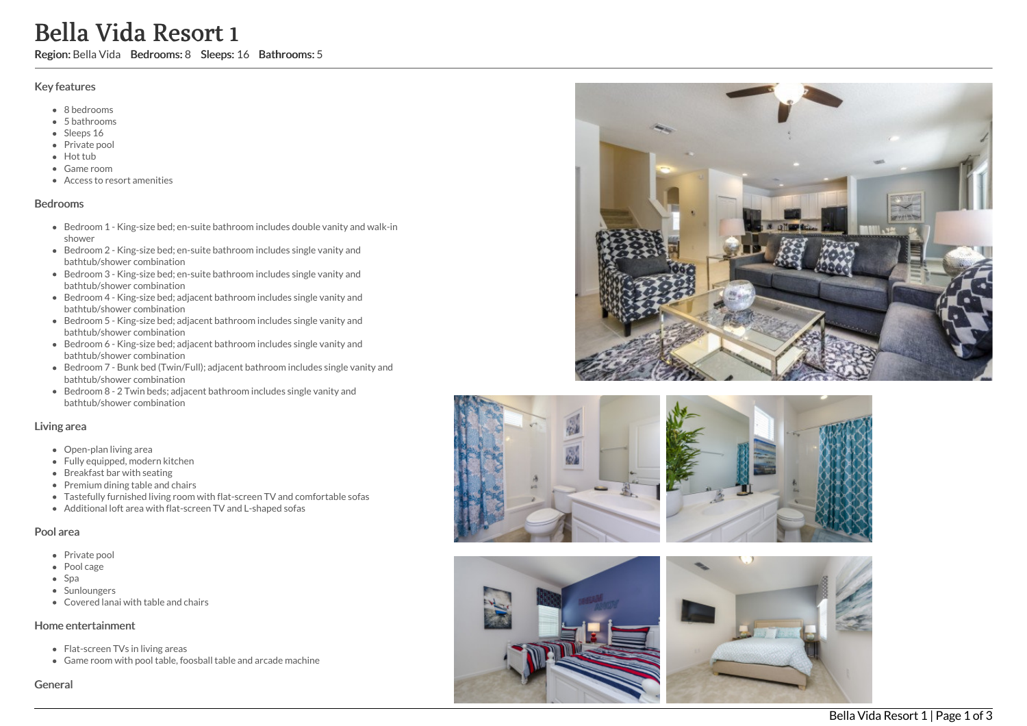# **Bell:**<br>
Region: Bellement<br>
Region: Bellement<br>
Show Hot Game Accession Prive Hot Game Accession<br>
Bed Show Bed Show Bed Show Bed Show Bed Show Bed batt<br>
Bed Show Bed batt<br>
Bed Show Bed batt<br>
Bed batt<br>
Bed batt<br>
Bed batt<br>
Be a V i d a R e s o r t 1

Region: Bella Vida Bedrooms: 8 Sleeps: 16 Bathrooms: 5

### Key features

- 8 b e d r o o m s
- 5 b a t h r o o m s
- Sleeps 16
- Private pool
- Hot tub
- Game room
- Access to resort amenities

### **Bedrooms**

- Bedroom 1 King-size bed; en-suite bathroom includes double vanity and walk-in s h o w e r
- Bedroom 2 King-size bed; en-suite bathroom includes single vanity and bathtub/shower combination
- Bedroom 3 King-size bed; en-suite bathroom includes single vanity and bathtub/shower combination
- Bedroom 4 King-size bed; adjacent bathroom includes single vanity and bathtub/shower combination
- Bedroom 5 King-size bed; adjacent bathroom includes single vanity and bathtub/shower combination
- Bedroom 6 King-size bed; adjacent bathroom includes single vanity and bathtub/shower combination
- Bedroom 7 Bunk bed (Twin/Full); adjacent bathroom includes single vanity and bathtub/shower combination
- Bedroom 8 2 Twin beds; adjacent bathroom includes single vanity and bathtub/shower combination

### Living area

- Open-plan living area
- Fully equipped, modern kitchen
- Breakfast bar with seating
- Premium dining table and chairs
- Tastefully furnished living room with flat-screen TV and comfortable sofas
- Additional loft area with flat-screen TV and L-shaped sofas

### Pool area

- Private pool
- Pool cage
- Spa
- Sunloungers
- Covered lanai with table and chairs

### Home entertainment

- Flat-screen TVs in living areas
- Game room with pool table, foosball table and arcade machine











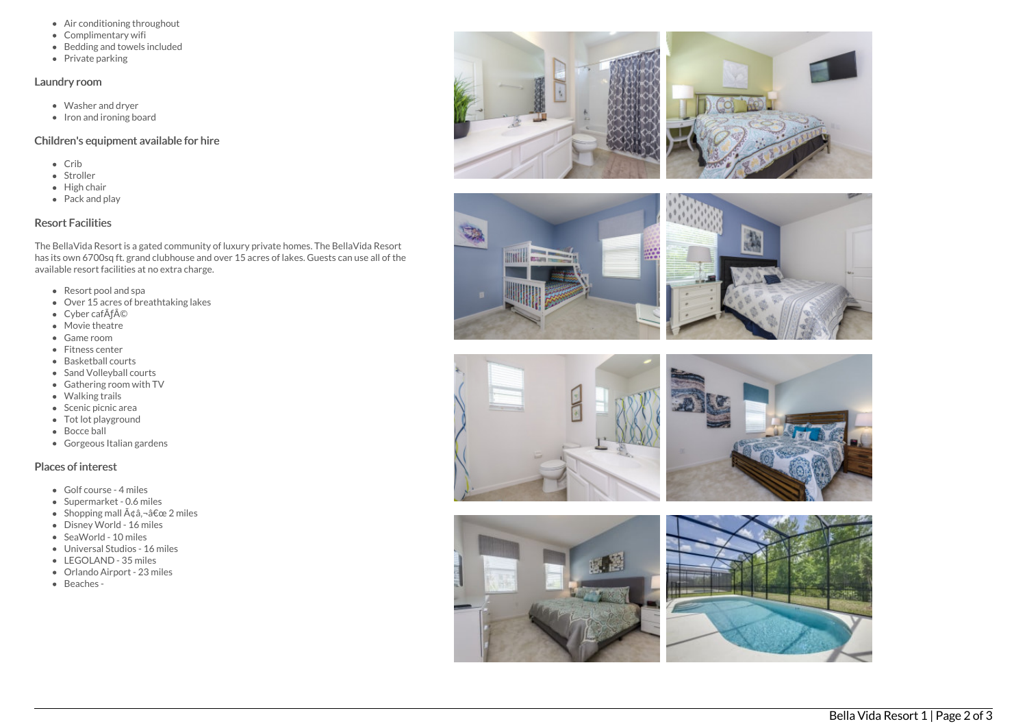- Air conditioning throughout
- Complimentary wifi
- Bedding and towels in clu d e d
- Private parking

### Laundry room

- Washer and dryer
- Iron and ironing board

# Children's equipment available for hire

- C rib
- Stroller
- Hig h c h air
- Pack and play

# Resort Facilities

The BellaVida Resort is a gated community of luxury private homes. The BellaVida Resort has its own 6700sq ft. grand clubhouse and over 15 acres of lakes. Guests can use all of the available resort facilities at no extra charge.

- Resort pool and spa
- Over 15 acres of breathtaking lakes
- Cyber cafÃf©
- Movie theatre
- Game room
- Fitness center
- Basketball courts
- Sand Volleyball courts
- Gathering room with TV
- Walking trails
- Scenic picnic area
- Tot lot playground
- Bocce ball
- Gorgeous Italian gardens

# Places of interest

- Golf course 4 miles
- Supermarket 0.6 miles
- Shopping mall ââ,¬â€œ 2 miles
- Disney World 16 miles
- SeaWorld 10 miles
- Universal Studios 16 miles
- LEGOLAND 35 miles
- Orlando Airport 23 miles
- Beaches -